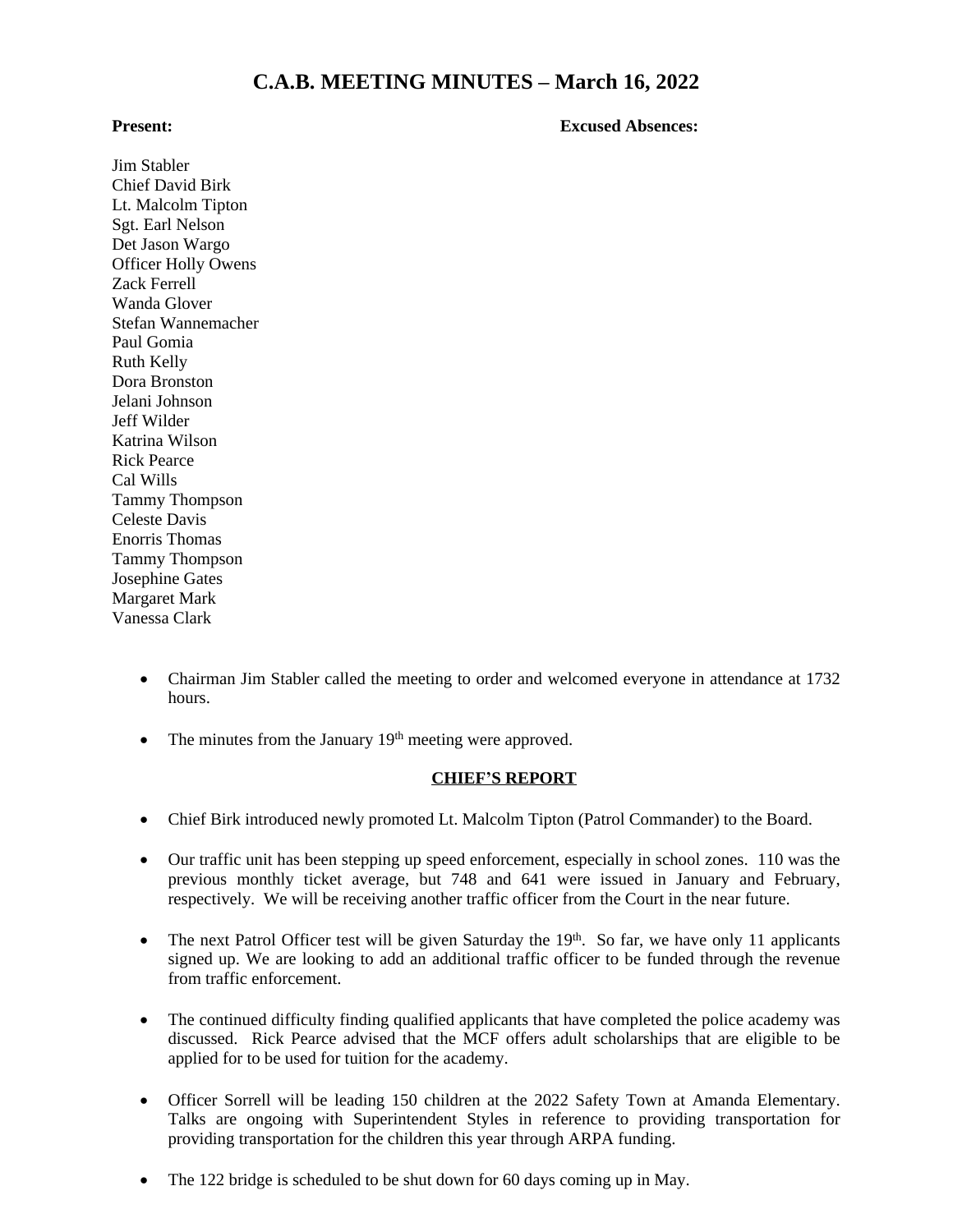# **C.A.B. MEETING MINUTES – March 16, 2022**

#### **Present: Excused Absences:**

Jim Stabler Chief David Birk Lt. Malcolm Tipton Sgt. Earl Nelson Det Jason Wargo Officer Holly Owens Zack Ferrell Wanda Glover Stefan Wannemacher Paul Gomia Ruth Kelly Dora Bronston Jelani Johnson Jeff Wilder Katrina Wilson Rick Pearce Cal Wills Tammy Thompson Celeste Davis Enorris Thomas Tammy Thompson Josephine Gates Margaret Mark Vanessa Clark

- Chairman Jim Stabler called the meeting to order and welcomed everyone in attendance at 1732 hours.
- The minutes from the January 19<sup>th</sup> meeting were approved.

### **CHIEF'S REPORT**

- Chief Birk introduced newly promoted Lt. Malcolm Tipton (Patrol Commander) to the Board.
- Our traffic unit has been stepping up speed enforcement, especially in school zones. 110 was the previous monthly ticket average, but 748 and 641 were issued in January and February, respectively. We will be receiving another traffic officer from the Court in the near future.
- The next Patrol Officer test will be given Saturday the 19<sup>th</sup>. So far, we have only 11 applicants signed up. We are looking to add an additional traffic officer to be funded through the revenue from traffic enforcement.
- The continued difficulty finding qualified applicants that have completed the police academy was discussed. Rick Pearce advised that the MCF offers adult scholarships that are eligible to be applied for to be used for tuition for the academy.
- Officer Sorrell will be leading 150 children at the 2022 Safety Town at Amanda Elementary. Talks are ongoing with Superintendent Styles in reference to providing transportation for providing transportation for the children this year through ARPA funding.
- The 122 bridge is scheduled to be shut down for 60 days coming up in May.